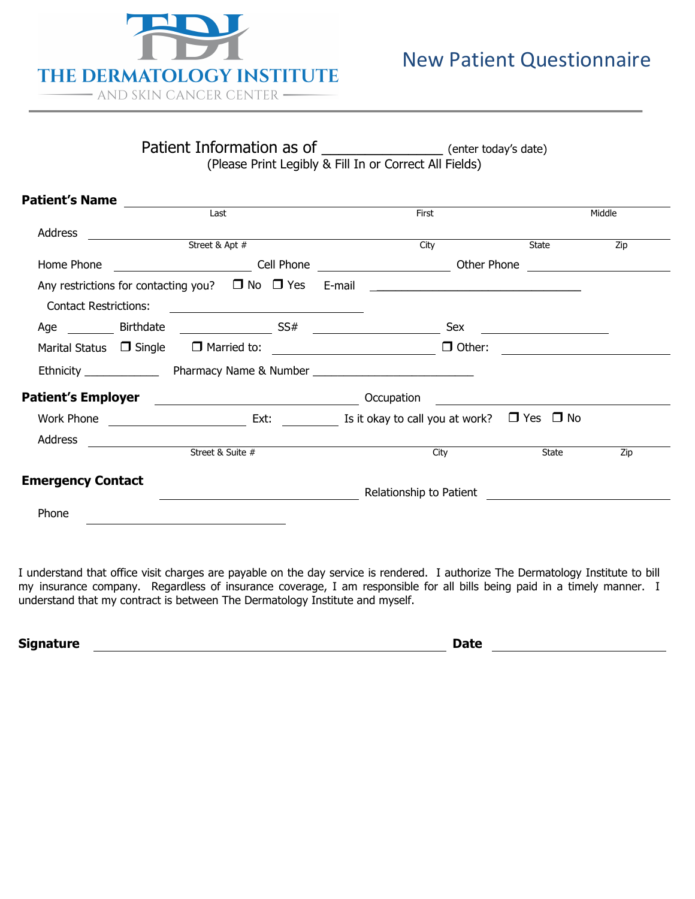

Patient Information as of \_\_\_\_\_\_\_\_\_\_\_\_\_\_\_\_\_\_\_\_ (enter today's date) (Please Print Legibly & Fill In or Correct All Fields)

| <b>Patient's Name</b>        | $\begin{tabular}{ c c c } \hline \quad \quad & \quad \quad & \quad \quad & \quad \quad \\ \hline \quad \quad & \quad \quad & \quad \quad & \quad \quad \\ \hline \end{tabular}$ |                                                                                                                        |                                              |                                                                                                                      |
|------------------------------|---------------------------------------------------------------------------------------------------------------------------------------------------------------------------------|------------------------------------------------------------------------------------------------------------------------|----------------------------------------------|----------------------------------------------------------------------------------------------------------------------|
|                              |                                                                                                                                                                                 | First                                                                                                                  |                                              | Middle                                                                                                               |
| Address                      | $\overbrace{\text{Street & \& \; \mathsf{Apt} \;#}}$                                                                                                                            |                                                                                                                        |                                              |                                                                                                                      |
|                              |                                                                                                                                                                                 | City                                                                                                                   | State                                        | Zip                                                                                                                  |
|                              |                                                                                                                                                                                 | Home Phone _____________________________Cell Phone ______________________________ Other Phone ________________         |                                              |                                                                                                                      |
|                              |                                                                                                                                                                                 | Any restrictions for contacting you? $\Box$ No $\Box$ Yes E-mail $\Box$                                                |                                              |                                                                                                                      |
| <b>Contact Restrictions:</b> |                                                                                                                                                                                 |                                                                                                                        |                                              |                                                                                                                      |
|                              |                                                                                                                                                                                 |                                                                                                                        | <u> 1989 - Andrea Andrew Maria (b. 1989)</u> |                                                                                                                      |
|                              | Marital Status □ Single □ Married to: <u>________________________</u>                                                                                                           | $\Box$ Other:                                                                                                          |                                              | <u> 1980 - Jan Samuel Barbara, politik eta politik eta politik eta politik eta politik eta politik eta politik e</u> |
|                              |                                                                                                                                                                                 |                                                                                                                        |                                              |                                                                                                                      |
|                              |                                                                                                                                                                                 |                                                                                                                        |                                              |                                                                                                                      |
|                              |                                                                                                                                                                                 | Work Phone $\qquad \qquad$ No Ext: $\qquad \qquad$ Is it okay to call you at work? $\Box$ Yes $\Box$ No                |                                              |                                                                                                                      |
| Address                      |                                                                                                                                                                                 |                                                                                                                        |                                              |                                                                                                                      |
|                              | Street & Suite #                                                                                                                                                                | City                                                                                                                   | State                                        | $\overline{Zip}$                                                                                                     |
| <b>Emergency Contact</b>     |                                                                                                                                                                                 | <b>Example 2018 19 Advanced Ave According to Patient 2018 19:00 Patient 2018 19:00 Patient 2018 19:00 Patient 2018</b> |                                              |                                                                                                                      |
| Phone                        |                                                                                                                                                                                 |                                                                                                                        |                                              |                                                                                                                      |
|                              |                                                                                                                                                                                 |                                                                                                                        |                                              |                                                                                                                      |
| $\mathsf{R}$<br>O M MN P     |                                                                                                                                                                                 |                                                                                                                        |                                              |                                                                                                                      |
| Friend/relative              | C Doctor referral                                                                                                                                                               | ¢ Newspaper ad                                                                                                         |                                              |                                                                                                                      |

I understand that office visit charges are payable on the day service is rendered. I authorize The Dermatology Institute to bill my insurance company. Regardless of insurance coverage, I am responsible for all bills being paid in a timely manner. I understand that my contract is between The Dermatology Institute and myself.

**Signature Date**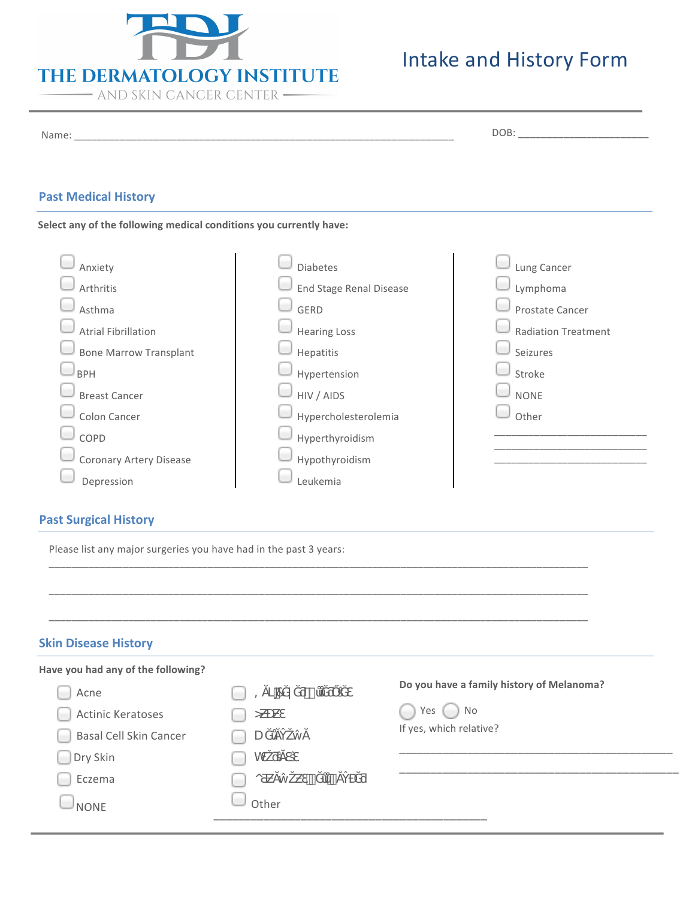

Dry Skin  $\Box$  Eczema

 $\Box$  NONE  $\Box$  Other

WƐŽƌŝĂƐŝƐ

 $\circ$   $\#$   $\#$ 

# Intake and History Form

\_\_\_\_\_\_\_\_\_\_\_\_\_\_\_\_\_\_\_\_\_\_\_\_\_\_\_\_\_\_\_\_\_\_\_\_\_\_\_\_\_\_\_\_ \_\_\_\_\_\_\_\_\_\_\_\_\_\_\_\_\_\_\_\_\_\_\_\_\_\_\_\_\_\_\_\_\_\_\_\_\_\_\_\_\_\_\_\_\_

| <b>Past Medical History</b><br>Select any of the following medical conditions you currently have:                                                                                                                                    |                                                                                                                                                                                        |                                                                                                                        |
|--------------------------------------------------------------------------------------------------------------------------------------------------------------------------------------------------------------------------------------|----------------------------------------------------------------------------------------------------------------------------------------------------------------------------------------|------------------------------------------------------------------------------------------------------------------------|
| Anxiety<br>Arthritis<br>Asthma<br><b>Atrial Fibrillation</b><br><b>Bone Marrow Transplant</b><br><b>BPH</b><br><b>Breast Cancer</b><br>Colon Cancer<br>COPD<br>Coronary Artery Disease<br>Depression<br><b>Past Surgical History</b> | Diabetes<br>End Stage Renal Disease<br>GERD<br><b>Hearing Loss</b><br>Hepatitis<br>Hypertension<br>HIV / AIDS<br>Hypercholesterolemia<br>Hyperthyroidism<br>Hypothyroidism<br>Leukemia | Lung Cancer<br>Lymphoma<br>Prostate Cancer<br><b>Radiation Treatment</b><br>Seizures<br>Stroke<br><b>NONE</b><br>Other |
| Please list any major surgeries you have had in the past 3 years:<br><b>Skin Disease History</b>                                                                                                                                     |                                                                                                                                                                                        |                                                                                                                        |
| Have you had any of the following?<br>Acne<br><b>Actinic Keratoses</b><br><b>Basal Cell Skin Cancer</b>                                                                                                                              | -7<br>$\qquad \qquad =\qquad \qquad$<br>$\circ$<br>U                                                                                                                                   | Do you have a family history of Melanoma?<br>No<br>Yes<br>If yes, which relative?                                      |

\_\_\_\_\_\_\_\_\_\_\_\_\_\_\_\_\_\_\_\_\_\_\_\_\_\_\_\_\_\_\_\_\_\_\_\_\_\_\_\_\_\_\_\_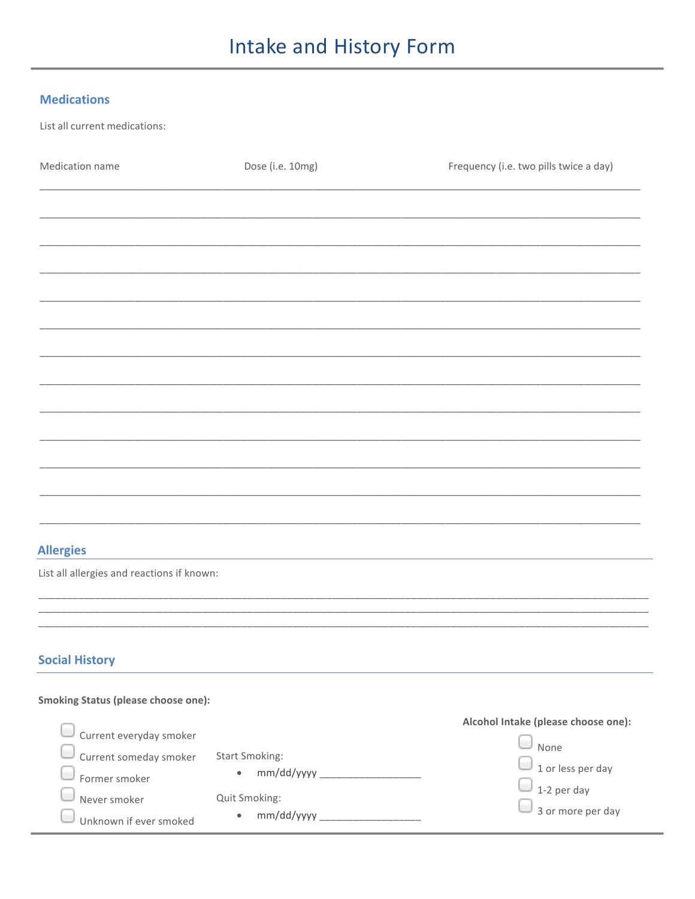## Intake and History Form

### **Medications**

line.

List all current medications:

| Medication name                            | Dose (i.e. 10mg)<br>Frequency (i.e. two pills twice a day) |                                     |
|--------------------------------------------|------------------------------------------------------------|-------------------------------------|
|                                            |                                                            |                                     |
|                                            |                                                            |                                     |
|                                            |                                                            |                                     |
|                                            |                                                            |                                     |
|                                            |                                                            |                                     |
|                                            |                                                            |                                     |
|                                            |                                                            |                                     |
|                                            |                                                            |                                     |
|                                            |                                                            |                                     |
|                                            |                                                            |                                     |
|                                            |                                                            |                                     |
|                                            |                                                            |                                     |
| <b>Allergies</b>                           |                                                            |                                     |
| List all allergies and reactions if known: |                                                            |                                     |
|                                            |                                                            |                                     |
| <b>Social History</b>                      |                                                            |                                     |
| Smoking Status (please choose one):        |                                                            |                                     |
| Current everyday smoker                    |                                                            | Alcohol Intake (please choose one): |
| Current someday smoker                     | <b>Start Smoking:</b>                                      | None<br>1 or less per day           |
| Former smoker                              | $\bullet$                                                  | 1-2 per day                         |
| Never smoker<br>Unknown if ever smoked     | Quit Smoking:<br>$\bullet$                                 | 3 or more per day                   |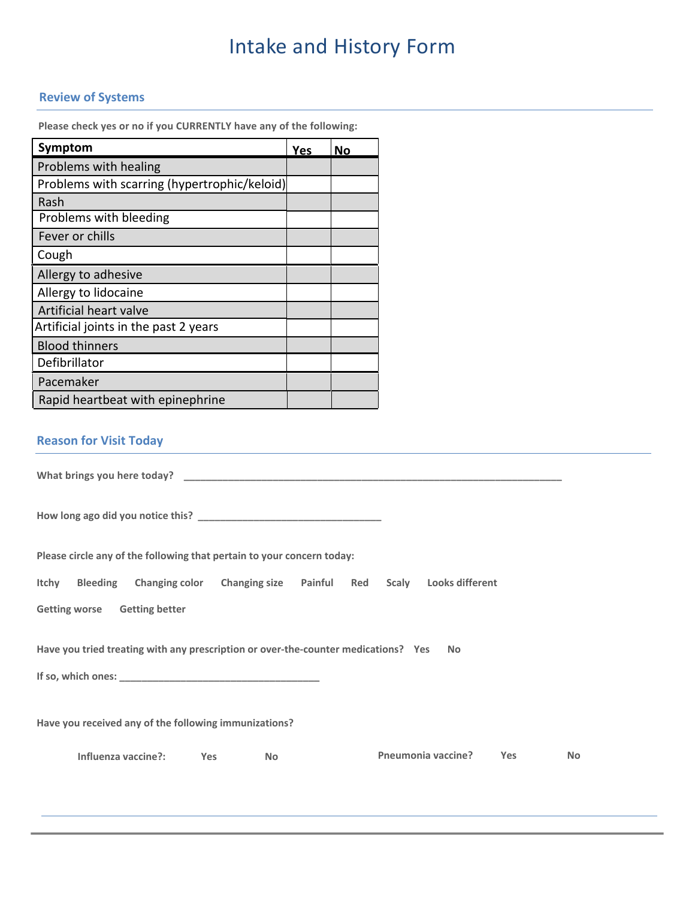## Intake and History Form

### **Review of Systems**

**Please check yes or no if you CURRENTLY have any of the following:** 

| Symptom                                      | Yes | No |
|----------------------------------------------|-----|----|
| Problems with healing                        |     |    |
| Problems with scarring (hypertrophic/keloid) |     |    |
| Rash                                         |     |    |
| Problems with bleeding                       |     |    |
| Fever or chills                              |     |    |
| Cough                                        |     |    |
| Allergy to adhesive                          |     |    |
| Allergy to lidocaine                         |     |    |
| Artificial heart valve                       |     |    |
| Artificial joints in the past 2 years        |     |    |
| <b>Blood thinners</b>                        |     |    |
| Defibrillator                                |     |    |
| Pacemaker                                    |     |    |
| Rapid heartbeat with epinephrine             |     |    |

### **Reason for Visit Today**

**What brings you here today? \_\_\_\_\_\_\_\_\_\_\_\_\_\_\_\_\_\_\_\_\_\_\_\_\_\_\_\_\_\_\_\_\_\_\_\_\_\_\_\_\_\_\_\_\_\_\_\_\_\_\_\_\_\_\_\_\_\_\_\_\_\_\_\_\_\_\_\_ How long ago did you notice this? \_\_\_\_\_\_\_\_\_\_\_\_\_\_\_\_\_\_\_\_\_\_\_\_\_\_\_\_\_\_\_\_\_ Please circle any of the following that pertain to your concern today: Itchy Bleeding Changing color Changing size Painful Red Scaly Looks different Getting worse Getting better Have you tried treating with any prescription or over-the-counter medications? Yes No If so, which ones: \_\_\_\_\_\_\_\_\_\_\_\_\_\_\_\_\_\_\_\_\_\_\_\_\_\_\_\_\_\_\_\_\_\_\_\_ Have you received any of the following immunizations? Influenza vaccine?: Yes No Pneumonia vaccine? Yes No**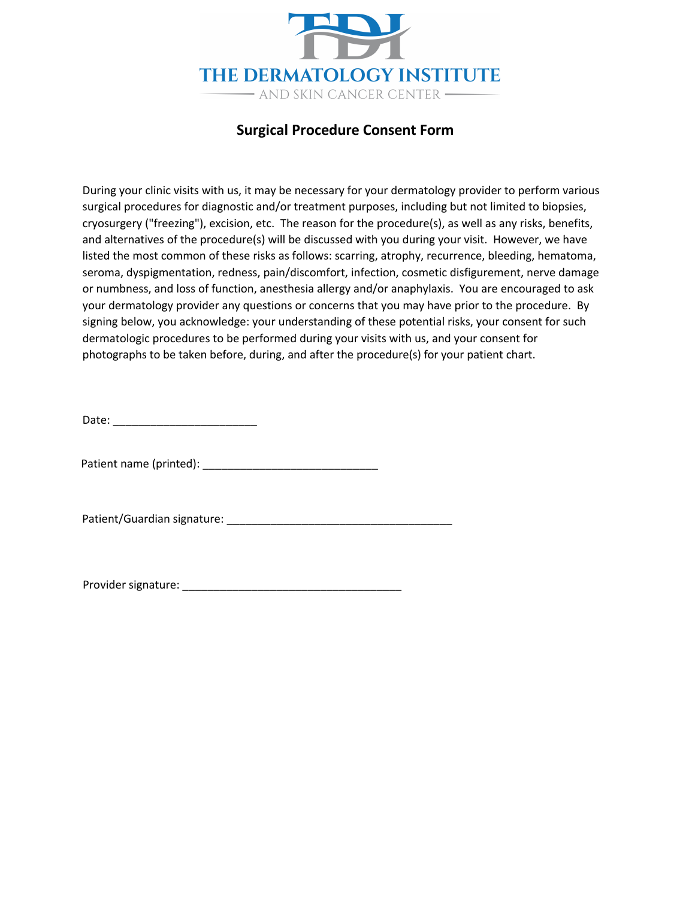

### **Surgical Procedure Consent Form**

During your clinic visits with us, it may be necessary for your dermatology provider to perform various surgical procedures for diagnostic and/or treatment purposes, including but not limited to biopsies, cryosurgery ("freezing"), excision, etc. The reason for the procedure(s), as well as any risks, benefits, and alternatives of the procedure(s) will be discussed with you during your visit. However, we have listed the most common of these risks as follows: scarring, atrophy, recurrence, bleeding, hematoma, seroma, dyspigmentation, redness, pain/discomfort, infection, cosmetic disfigurement, nerve damage or numbness, and loss of function, anesthesia allergy and/or anaphylaxis. You are encouraged to ask your dermatology provider any questions or concerns that you may have prior to the procedure. By signing below, you acknowledge: your understanding of these potential risks, your consent for such dermatologic procedures to be performed during your visits with us, and your consent for photographs to be taken before, during, and after the procedure(s) for your patient chart.

Date: \_\_\_\_\_\_\_\_\_\_\_\_\_\_\_\_\_\_\_\_\_\_\_

Patient name (printed): \_\_\_\_\_\_\_\_\_\_\_\_\_\_\_\_\_\_\_\_\_\_\_\_\_\_\_\_

Patient/Guardian signature: \_\_\_\_\_\_\_\_\_\_\_\_\_\_\_\_\_\_\_\_\_\_\_\_\_\_\_\_\_\_\_\_\_\_\_\_

Provider signature: \_\_\_\_\_\_\_\_\_\_\_\_\_\_\_\_\_\_\_\_\_\_\_\_\_\_\_\_\_\_\_\_\_\_\_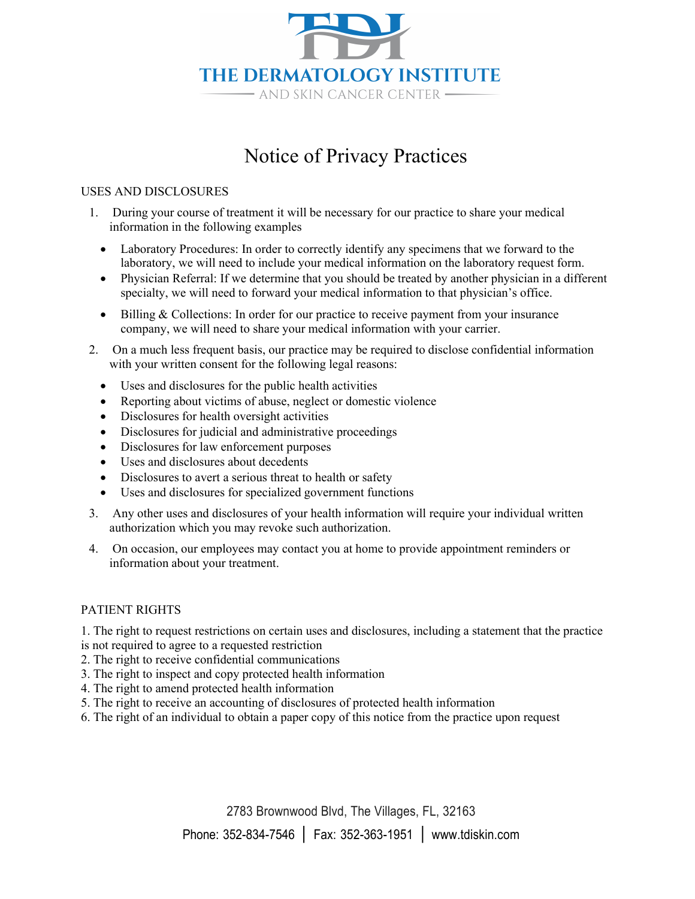

## Notice of Privacy Practices

### USES AND DISCLOSURES

- 1. During your course of treatment it will be necessary for our practice to share your medical information in the following examples
	- Laboratory Procedures: In order to correctly identify any specimens that we forward to the laboratory, we will need to include your medical information on the laboratory request form.
	- Physician Referral: If we determine that you should be treated by another physician in a different specialty, we will need to forward your medical information to that physician's office.
	- Billing & Collections: In order for our practice to receive payment from your insurance company, we will need to share your medical information with your carrier.
- 2. On a much less frequent basis, our practice may be required to disclose confidential information with your written consent for the following legal reasons:
	- Uses and disclosures for the public health activities
	- Reporting about victims of abuse, neglect or domestic violence
	- Disclosures for health oversight activities
	- Disclosures for judicial and administrative proceedings
	- Disclosures for law enforcement purposes
	- Uses and disclosures about decedents
	- Disclosures to avert a serious threat to health or safety
	- Uses and disclosures for specialized government functions
- 3. Any other uses and disclosures of your health information will require your individual written authorization which you may revoke such authorization.
- 4. On occasion, our employees may contact you at home to provide appointment reminders or information about your treatment.

### PATIENT RIGHTS

1. The right to request restrictions on certain uses and disclosures, including a statement that the practice is not required to agree to a requested restriction

- 2. The right to receive confidential communications
- 3. The right to inspect and copy protected health information
- 4. The right to amend protected health information
- 5. The right to receive an accounting of disclosures of protected health information
- 6. The right of an individual to obtain a paper copy of this notice from the practice upon request